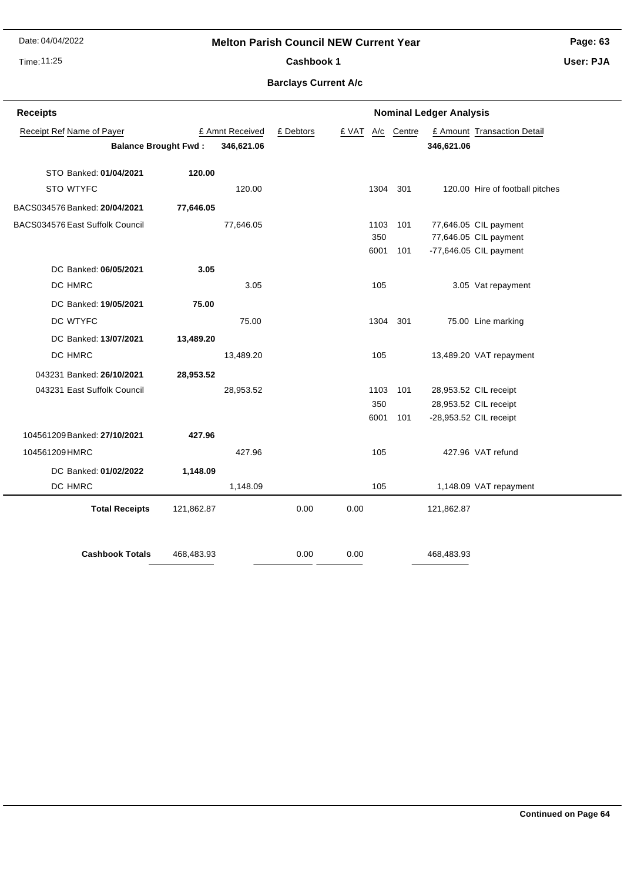Date: 04/04/2022

## **Melton Parish Council NEW Current Year**

Time: 11:25

# Cashbook 1

**Page: 63**

**User: PJA**

## **Barclays Current A/c**

| <b>Receipts</b><br><b>Nominal Ledger Analysis</b> |                             |                 |           |       |      |        |            |                                 |
|---------------------------------------------------|-----------------------------|-----------------|-----------|-------|------|--------|------------|---------------------------------|
| Receipt Ref Name of Payer                         |                             | £ Amnt Received | £ Debtors | £ VAT | A/c  | Centre |            | £ Amount Transaction Detail     |
|                                                   | <b>Balance Brought Fwd:</b> | 346,621.06      |           |       |      |        | 346,621.06 |                                 |
|                                                   |                             |                 |           |       |      |        |            |                                 |
| STO Banked: 01/04/2021                            | 120.00                      |                 |           |       |      |        |            |                                 |
| STO WTYFC                                         |                             | 120.00          |           |       | 1304 | 301    |            | 120.00 Hire of football pitches |
| BACS034576 Banked: 20/04/2021                     | 77,646.05                   |                 |           |       |      |        |            |                                 |
| BACS034576 East Suffolk Council                   |                             | 77,646.05       |           |       | 1103 | 101    |            | 77,646.05 CIL payment           |
|                                                   |                             |                 |           |       | 350  |        |            | 77,646.05 CIL payment           |
|                                                   |                             |                 |           |       | 6001 | 101    |            | -77,646.05 CIL payment          |
| DC Banked: 06/05/2021                             | 3.05                        |                 |           |       |      |        |            |                                 |
| DC HMRC                                           |                             | 3.05            |           |       | 105  |        |            | 3.05 Vat repayment              |
| DC Banked: 19/05/2021                             | 75.00                       |                 |           |       |      |        |            |                                 |
| DC WTYFC                                          |                             | 75.00           |           |       | 1304 | 301    |            | 75.00 Line marking              |
| DC Banked: 13/07/2021                             | 13,489.20                   |                 |           |       |      |        |            |                                 |
| DC HMRC                                           |                             | 13,489.20       |           |       | 105  |        |            | 13,489.20 VAT repayment         |
| 043231 Banked: 26/10/2021                         | 28,953.52                   |                 |           |       |      |        |            |                                 |
| 043231 East Suffolk Council                       |                             | 28,953.52       |           |       | 1103 | 101    |            | 28,953.52 CIL receipt           |
|                                                   |                             |                 |           |       | 350  |        |            | 28,953.52 CIL receipt           |
|                                                   |                             |                 |           |       | 6001 | 101    |            | -28,953.52 CIL receipt          |
| 104561209 Banked: 27/10/2021                      | 427.96                      |                 |           |       |      |        |            |                                 |
| 104561209 HMRC                                    |                             | 427.96          |           |       | 105  |        |            | 427.96 VAT refund               |
| DC Banked: 01/02/2022                             | 1,148.09                    |                 |           |       |      |        |            |                                 |
| DC HMRC                                           |                             | 1,148.09        |           |       | 105  |        |            | 1,148.09 VAT repayment          |
| <b>Total Receipts</b>                             | 121,862.87                  |                 | 0.00      | 0.00  |      |        | 121,862.87 |                                 |
|                                                   |                             |                 |           |       |      |        |            |                                 |
| <b>Cashbook Totals</b>                            | 468,483.93                  |                 | 0.00      | 0.00  |      |        | 468,483.93 |                                 |